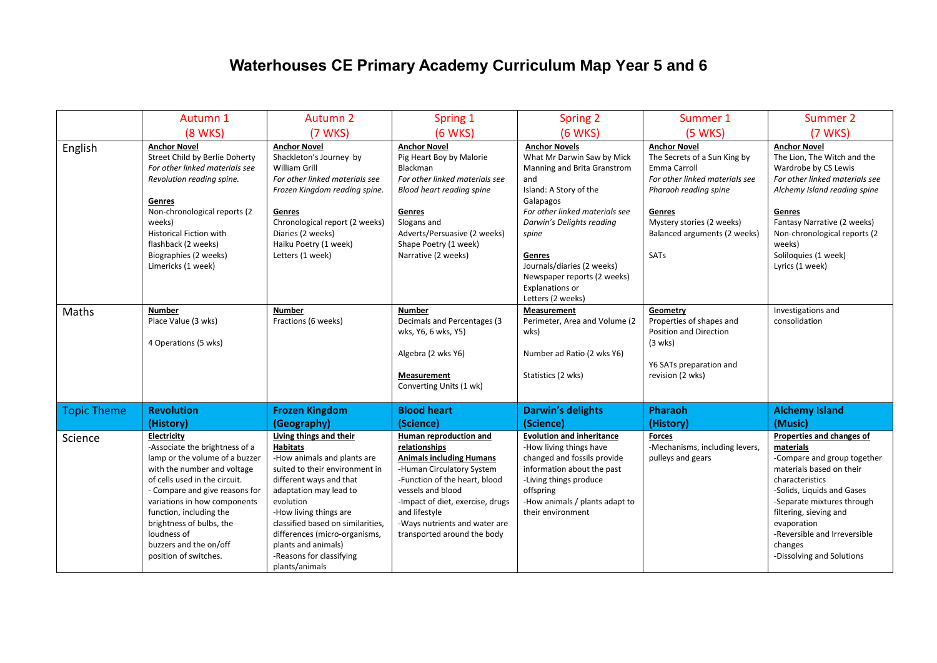## **Waterhouses CE Primary Academy Curriculum Map Year 5 and 6**

|                    | Autumn 1                                                                                                                                                                                                                                                                                                                                   | Autumn 2                                                                                                                                                                                                                                                                                                                                           | Spring 1                                                                                                                                                                                                                                                                           | <b>Spring 2</b>                                                                                                                                                                                                                                                                                                        | Summer 1                                                                                                                                                                                                             | Summer 2                                                                                                                                                                                                                                                                                          |
|--------------------|--------------------------------------------------------------------------------------------------------------------------------------------------------------------------------------------------------------------------------------------------------------------------------------------------------------------------------------------|----------------------------------------------------------------------------------------------------------------------------------------------------------------------------------------------------------------------------------------------------------------------------------------------------------------------------------------------------|------------------------------------------------------------------------------------------------------------------------------------------------------------------------------------------------------------------------------------------------------------------------------------|------------------------------------------------------------------------------------------------------------------------------------------------------------------------------------------------------------------------------------------------------------------------------------------------------------------------|----------------------------------------------------------------------------------------------------------------------------------------------------------------------------------------------------------------------|---------------------------------------------------------------------------------------------------------------------------------------------------------------------------------------------------------------------------------------------------------------------------------------------------|
|                    | <b>(8 WKS)</b>                                                                                                                                                                                                                                                                                                                             | (7 WKS)                                                                                                                                                                                                                                                                                                                                            | (6 WKS)                                                                                                                                                                                                                                                                            | (6 WKS)                                                                                                                                                                                                                                                                                                                | (5 WKS)                                                                                                                                                                                                              | (7 WKS)                                                                                                                                                                                                                                                                                           |
| English            | <b>Anchor Novel</b><br>Street Child by Berlie Doherty<br>For other linked materials see<br>Revolution reading spine.<br>Genres<br>Non-chronological reports (2<br>weeks)<br><b>Historical Fiction with</b><br>flashback (2 weeks)<br>Biographies (2 weeks)<br>Limericks (1 week)                                                           | <b>Anchor Novel</b><br>Shackleton's Journey by<br><b>William Grill</b><br>For other linked materials see<br>Frozen Kingdom reading spine.<br>Genres<br>Chronological report (2 weeks)<br>Diaries (2 weeks)<br>Haiku Poetry (1 week)<br>Letters (1 week)                                                                                            | <b>Anchor Novel</b><br>Pig Heart Boy by Malorie<br>Blackman<br>For other linked materials see<br>Blood heart reading spine<br>Genres<br>Slogans and<br>Adverts/Persuasive (2 weeks)<br>Shape Poetry (1 week)<br>Narrative (2 weeks)                                                | <b>Anchor Novels</b><br>What Mr Darwin Saw by Mick<br>Manning and Brita Granstrom<br>and<br>Island: A Story of the<br>Galapagos<br>For other linked materials see<br>Darwin's Delights reading<br>spine<br>Genres<br>Journals/diaries (2 weeks)<br>Newspaper reports (2 weeks)<br>Explanations or<br>Letters (2 weeks) | <b>Anchor Novel</b><br>The Secrets of a Sun King by<br><b>Emma Carroll</b><br>For other linked materials see<br>Pharaoh reading spine<br>Genres<br>Mystery stories (2 weeks)<br>Balanced arguments (2 weeks)<br>SATs | <b>Anchor Novel</b><br>The Lion, The Witch and the<br>Wardrobe by CS Lewis<br>For other linked materials see<br>Alchemy Island reading spine<br>Genres<br>Fantasy Narrative (2 weeks)<br>Non-chronological reports (2<br>weeks)<br>Soliloquies (1 week)<br>Lyrics (1 week)                        |
| Maths              | <b>Number</b><br>Place Value (3 wks)<br>4 Operations (5 wks)                                                                                                                                                                                                                                                                               | <b>Number</b><br>Fractions (6 weeks)                                                                                                                                                                                                                                                                                                               | <b>Number</b><br>Decimals and Percentages (3<br>wks, Y6, 6 wks, Y5)<br>Algebra (2 wks Y6)<br>Measurement<br>Converting Units (1 wk)                                                                                                                                                | Measurement<br>Perimeter, Area and Volume (2<br>wks)<br>Number ad Ratio (2 wks Y6)<br>Statistics (2 wks)                                                                                                                                                                                                               | Geometry<br>Properties of shapes and<br><b>Position and Direction</b><br>(3 wks)<br>Y6 SATs preparation and<br>revision (2 wks)                                                                                      | Investigations and<br>consolidation                                                                                                                                                                                                                                                               |
| <b>Topic Theme</b> | <b>Revolution</b><br>(History)                                                                                                                                                                                                                                                                                                             | <b>Frozen Kingdom</b><br>(Geography)                                                                                                                                                                                                                                                                                                               | <b>Blood heart</b><br>(Science)                                                                                                                                                                                                                                                    | <b>Darwin's delights</b><br>(Science)                                                                                                                                                                                                                                                                                  | Pharaoh<br>(History)                                                                                                                                                                                                 | <b>Alchemy Island</b><br>(Music)                                                                                                                                                                                                                                                                  |
| Science            | Electricity<br>-Associate the brightness of a<br>lamp or the volume of a buzzer<br>with the number and voltage<br>of cells used in the circuit.<br>- Compare and give reasons for<br>variations in how components<br>function, including the<br>brightness of bulbs, the<br>loudness of<br>buzzers and the on/off<br>position of switches. | Living things and their<br><b>Habitats</b><br>-How animals and plants are<br>suited to their environment in<br>different ways and that<br>adaptation may lead to<br>evolution<br>-How living things are<br>classified based on similarities,<br>differences (micro-organisms,<br>plants and animals)<br>-Reasons for classifying<br>plants/animals | Human reproduction and<br>relationships<br><b>Animals including Humans</b><br>-Human Circulatory System<br>-Function of the heart, blood<br>vessels and blood<br>-Impact of diet, exercise, drugs<br>and lifestyle<br>-Ways nutrients and water are<br>transported around the body | <b>Evolution and inheritance</b><br>-How living things have<br>changed and fossils provide<br>information about the past<br>-Living things produce<br>offspring<br>-How animals / plants adapt to<br>their environment                                                                                                 | <b>Forces</b><br>-Mechanisms, including levers,<br>pulleys and gears                                                                                                                                                 | Properties and changes of<br>materials<br>-Compare and group together<br>materials based on their<br>characteristics<br>-Solids, Liquids and Gases<br>-Separate mixtures through<br>filtering, sieving and<br>evaporation<br>-Reversible and Irreversible<br>changes<br>-Dissolving and Solutions |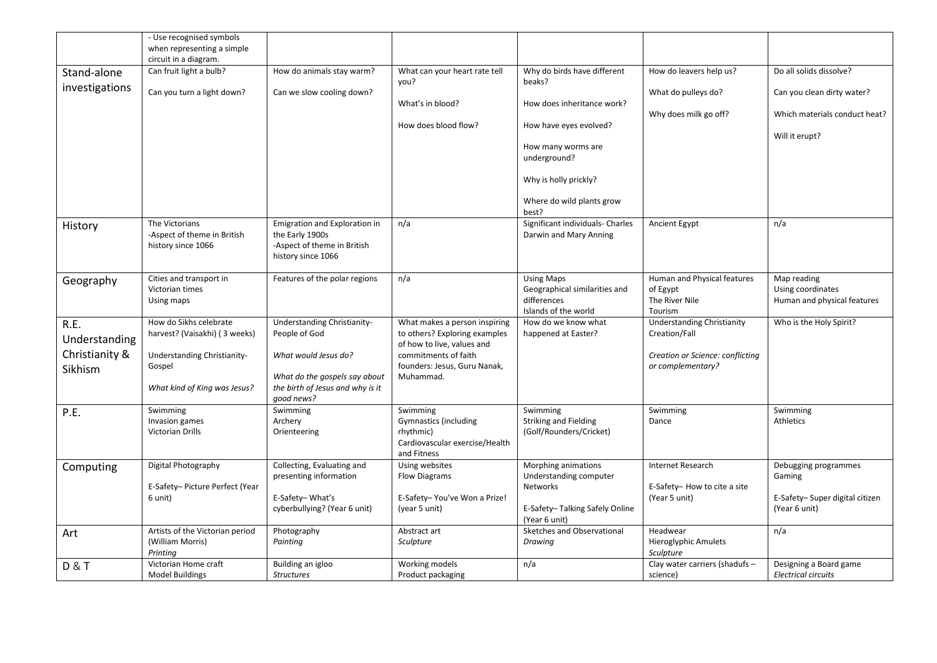|                           | - Use recognised symbols<br>when representing a simple<br>circuit in a diagram. |                                                                                                       |                                                                                                        |                                                                                           |                                                                      |                                                                 |
|---------------------------|---------------------------------------------------------------------------------|-------------------------------------------------------------------------------------------------------|--------------------------------------------------------------------------------------------------------|-------------------------------------------------------------------------------------------|----------------------------------------------------------------------|-----------------------------------------------------------------|
| Stand-alone               | Can fruit light a bulb?                                                         | How do animals stay warm?                                                                             | What can your heart rate tell<br>you?                                                                  | Why do birds have different<br>beaks?                                                     | How do leavers help us?                                              | Do all solids dissolve?                                         |
| investigations            | Can you turn a light down?                                                      | Can we slow cooling down?                                                                             |                                                                                                        |                                                                                           | What do pulleys do?                                                  | Can you clean dirty water?                                      |
|                           |                                                                                 |                                                                                                       | What's in blood?                                                                                       | How does inheritance work?                                                                | Why does milk go off?                                                | Which materials conduct heat?                                   |
|                           |                                                                                 |                                                                                                       | How does blood flow?                                                                                   | How have eyes evolved?                                                                    |                                                                      |                                                                 |
|                           |                                                                                 |                                                                                                       |                                                                                                        | How many worms are<br>underground?                                                        |                                                                      | Will it erupt?                                                  |
|                           |                                                                                 |                                                                                                       |                                                                                                        | Why is holly prickly?                                                                     |                                                                      |                                                                 |
|                           |                                                                                 |                                                                                                       |                                                                                                        | Where do wild plants grow<br>best?                                                        |                                                                      |                                                                 |
| History                   | The Victorians<br>-Aspect of theme in British<br>history since 1066             | Emigration and Exploration in<br>the Early 1900s<br>-Aspect of theme in British<br>history since 1066 | n/a                                                                                                    | Significant individuals- Charles<br>Darwin and Mary Anning                                | Ancient Egypt                                                        | n/a                                                             |
| Geography                 | Cities and transport in<br>Victorian times<br>Using maps                        | Features of the polar regions                                                                         | n/a                                                                                                    | <b>Using Maps</b><br>Geographical similarities and<br>differences<br>Islands of the world | Human and Physical features<br>of Egypt<br>The River Nile<br>Tourism | Map reading<br>Using coordinates<br>Human and physical features |
| R.E.<br>Understanding     | How do Sikhs celebrate<br>harvest? (Vaisakhi) (3 weeks)                         | Understanding Christianity-<br>People of God                                                          | What makes a person inspiring<br>to others? Exploring examples<br>of how to live, values and           | How do we know what<br>happened at Easter?                                                | <b>Understanding Christianity</b><br>Creation/Fall                   | Who is the Holy Spirit?                                         |
| Christianity &<br>Sikhism | Understanding Christianity-<br>Gospel                                           | What would Jesus do?<br>What do the gospels say about                                                 | commitments of faith<br>founders: Jesus, Guru Nanak,<br>Muhammad.                                      |                                                                                           | Creation or Science: conflicting<br>or complementary?                |                                                                 |
|                           | What kind of King was Jesus?                                                    | the birth of Jesus and why is it<br>good news?                                                        |                                                                                                        |                                                                                           |                                                                      |                                                                 |
| P.E.                      | Swimming<br>Invasion games<br><b>Victorian Drills</b>                           | Swimming<br>Archery<br>Orienteering                                                                   | Swimming<br><b>Gymnastics (including</b><br>rhythmic)<br>Cardiovascular exercise/Health<br>and Fitness | Swimming<br><b>Striking and Fielding</b><br>(Golf/Rounders/Cricket)                       | Swimming<br>Dance                                                    | Swimming<br>Athletics                                           |
| Computing                 | Digital Photography                                                             | Collecting, Evaluating and<br>presenting information                                                  | Using websites<br><b>Flow Diagrams</b>                                                                 | Morphing animations<br>Understanding computer                                             | Internet Research                                                    | Debugging programmes<br>Gaming                                  |
|                           | E-Safety- Picture Perfect (Year<br>6 unit)                                      | E-Safety-What's<br>cyberbullying? (Year 6 unit)                                                       | E-Safety-You've Won a Prize!<br>(year 5 unit)                                                          | <b>Networks</b><br>E-Safety-Talking Safely Online<br>(Year 6 unit)                        | E-Safety- How to cite a site<br>(Year 5 unit)                        | E-Safety-Super digital citizen<br>(Year 6 unit)                 |
| Art                       | Artists of the Victorian period<br>(William Morris)<br>Printing                 | Photography<br>Painting                                                                               | Abstract art<br>Sculpture                                                                              | Sketches and Observational<br>Drawing                                                     | Headwear<br><b>Hieroglyphic Amulets</b><br>Sculpture                 | n/a                                                             |
| <b>D&amp;T</b>            | Victorian Home craft<br><b>Model Buildings</b>                                  | Building an igloo<br><b>Structures</b>                                                                | Working models<br>Product packaging                                                                    | n/a                                                                                       | Clay water carriers (shadufs -<br>science)                           | Designing a Board game<br><b>Electrical circuits</b>            |